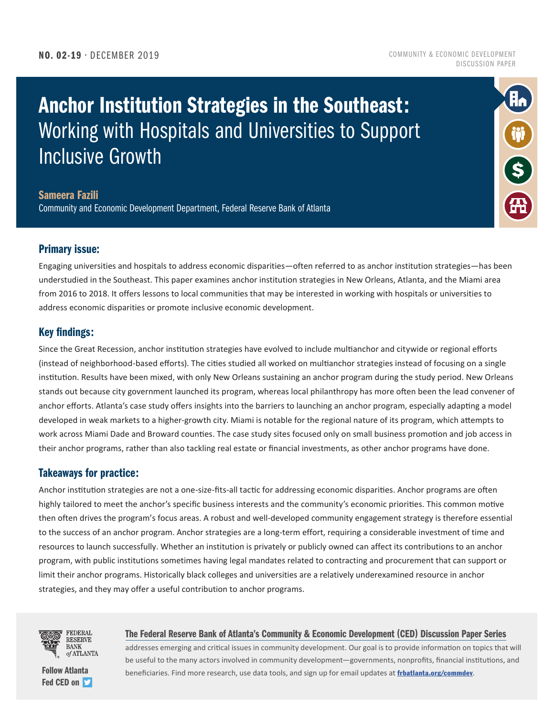#### NO. 02-19 • DECEMBER 2019

#### COMMUNITY & ECONOMIC DEVELOPMENT DISCUSSION PAPER

R,

 $\hat{\boldsymbol{s}}$ 

# Anchor Institution Strategies in the Southeast: Working with Hospitals and Universities to Support Inclusive Growth

#### Sameera Fazili

Community and Economic Development Department, Federal Reserve Bank of Atlanta

#### Primary issue:

Engaging universities and hospitals to address economic disparities—often referred to as anchor institution strategies—has been understudied in the Southeast. This paper examines anchor institution strategies in New Orleans, Atlanta, and the Miami area from 2016 to 2018. It offers lessons to local communities that may be interested in working with hospitals or universities to address economic disparities or promote inclusive economic development.

#### Key findings:

Since the Great Recession, anchor institution strategies have evolved to include multianchor and citywide or regional efforts (instead of neighborhood-based efforts). The cities studied all worked on multianchor strategies instead of focusing on a single institution. Results have been mixed, with only New Orleans sustaining an anchor program during the study period. New Orleans stands out because city government launched its program, whereas local philanthropy has more often been the lead convener of anchor efforts. Atlanta's case study offers insights into the barriers to launching an anchor program, especially adapting a model developed in weak markets to a higher-growth city. Miami is notable for the regional nature of its program, which attempts to work across Miami Dade and Broward counties. The case study sites focused only on small business promotion and job access in their anchor programs, rather than also tackling real estate or financial investments, as other anchor programs have done.

#### Takeaways for practice:

Anchor institution strategies are not a one-size-fits-all tactic for addressing economic disparities. Anchor programs are often highly tailored to meet the anchor's specific business interests and the community's economic priorities. This common motive then often drives the program's focus areas. A robust and well-developed community engagement strategy is therefore essential to the success of an anchor program. Anchor strategies are a long-term effort, requiring a considerable investment of time and resources to launch successfully. Whether an institution is privately or publicly owned can affect its contributions to an anchor program, with public institutions sometimes having legal mandates related to contracting and procurement that can support or limit their anchor programs. Historically black colleges and universities are a relatively underexamined resource in anchor strategies, and they may offer a useful contribution to anchor programs.



[Fed CED on](https://twitter.com/atlfedcomdev?lang=en)  $\blacktriangleright$ 

#### The Federal Reserve Bank of Atlanta's Community & Economic Development (CED) Discussion Paper Series

addresses emerging and critical issues in community development. Our goal is to provide information on topics that will be useful to the many actors involved in community development—governments, nonprofits, financial institutions, and [Follow Atlanta](https://twitter.com/atlfedcomdev?lang=en) **Example 20** beneficiaries. Find more research, use data tools, and sign up for email updates at [frbatlanta.org/commdev](http://frbatlanta.org/commdev).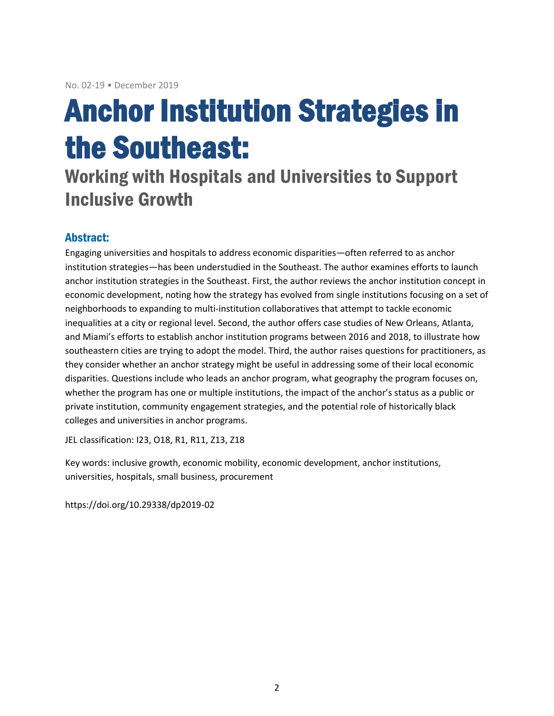# Anchor Institution Strategies in the Southeast:

# Working with Hospitals and Universities to Support Inclusive Growth

# Abstract:

Engaging universities and hospitals to address economic disparities—often referred to as anchor institution strategies—has been understudied in the Southeast. The author examines efforts to launch anchor institution strategies in the Southeast. First, the author reviews the anchor institution concept in economic development, noting how the strategy has evolved from single institutions focusing on a set of neighborhoods to expanding to multi-institution collaboratives that attempt to tackle economic inequalities at a city or regional level. Second, the author offers case studies of New Orleans, Atlanta, and Miami's efforts to establish anchor institution programs between 2016 and 2018, to illustrate how southeastern cities are trying to adopt the model. Third, the author raises questions for practitioners, as they consider whether an anchor strategy might be useful in addressing some of their local economic disparities. Questions include who leads an anchor program, what geography the program focuses on, whether the program has one or multiple institutions, the impact of the anchor's status as a public or private institution, community engagement strategies, and the potential role of historically black colleges and universities in anchor programs.

JEL classification: I23, O18, R1, R11, Z13, Z18

Key words: inclusive growth, economic mobility, economic development, anchor institutions, universities, hospitals, small business, procurement

https://doi.org/10.29338/dp2019-02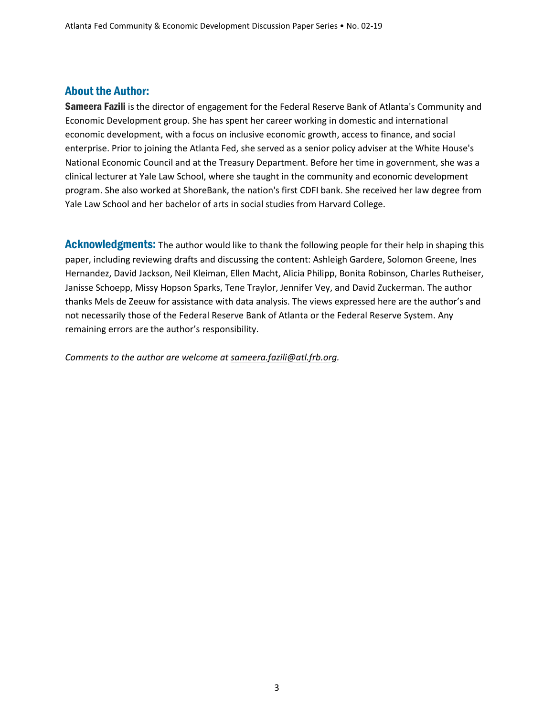## About the Author:

Sameera Fazili is the director of engagement for the Federal Reserve Bank of Atlanta's Community and Economic Development group. She has spent her career working in domestic and international economic development, with a focus on inclusive economic growth, access to finance, and social enterprise. Prior to joining the Atlanta Fed, she served as a senior policy adviser at the White House's National Economic Council and at the Treasury Department. Before her time in government, she was a clinical lecturer at Yale Law School, where she taught in the community and economic development program. She also worked at ShoreBank, the nation's first CDFI bank. She received her law degree from Yale Law School and her bachelor of arts in social studies from Harvard College.

Acknowledgments: The author would like to thank the following people for their help in shaping this paper, including reviewing drafts and discussing the content: Ashleigh Gardere, Solomon Greene, Ines Hernandez, David Jackson, Neil Kleiman, Ellen Macht, Alicia Philipp, Bonita Robinson, Charles Rutheiser, Janisse Schoepp, Missy Hopson Sparks, Tene Traylor, Jennifer Vey, and David Zuckerman. The author thanks Mels de Zeeuw for assistance with data analysis. The views expressed here are the author's and not necessarily those of the Federal Reserve Bank of Atlanta or the Federal Reserve System. Any remaining errors are the author's responsibility.

*Comments to the author are welcome at [sameera.fazili@atl.frb.org.](mailto:sameera.fazili@atl.frb.org)*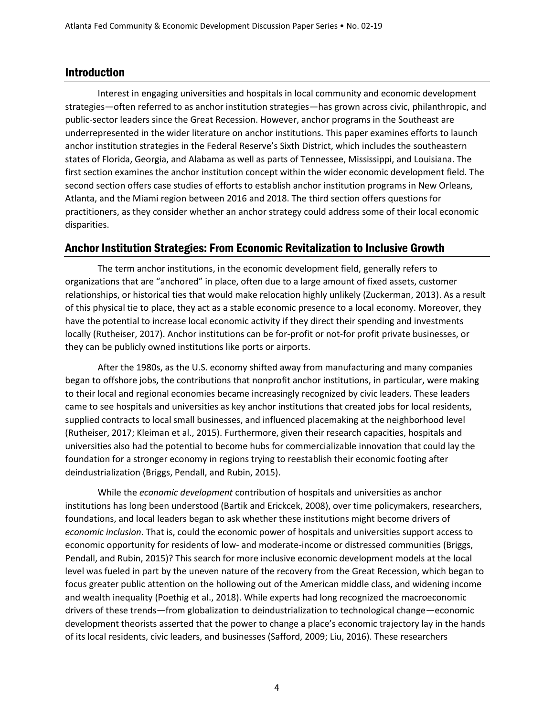### Introduction

Interest in engaging universities and hospitals in local community and economic development strategies—often referred to as anchor institution strategies—has grown across civic, philanthropic, and public-sector leaders since the Great Recession. However, anchor programs in the Southeast are underrepresented in the wider literature on anchor institutions. This paper examines efforts to launch anchor institution strategies in the Federal Reserve's Sixth District, which includes the southeastern states of Florida, Georgia, and Alabama as well as parts of Tennessee, Mississippi, and Louisiana. The first section examines the anchor institution concept within the wider economic development field. The second section offers case studies of efforts to establish anchor institution programs in New Orleans, Atlanta, and the Miami region between 2016 and 2018. The third section offers questions for practitioners, as they consider whether an anchor strategy could address some of their local economic disparities.

#### Anchor Institution Strategies: From Economic Revitalization to Inclusive Growth

The term anchor institutions, in the economic development field, generally refers to organizations that are "anchored" in place, often due to a large amount of fixed assets, customer relationships, or historical ties that would make relocation highly unlikely (Zuckerman, 2013). As a result of this physical tie to place, they act as a stable economic presence to a local economy. Moreover, they have the potential to increase local economic activity if they direct their spending and investments locally (Rutheiser, 2017). Anchor institutions can be for-profit or not-for profit private businesses, or they can be publicly owned institutions like ports or airports.

After the 1980s, as the U.S. economy shifted away from manufacturing and many companies began to offshore jobs, the contributions that nonprofit anchor institutions, in particular, were making to their local and regional economies became increasingly recognized by civic leaders. These leaders came to see hospitals and universities as key anchor institutions that created jobs for local residents, supplied contracts to local small businesses, and influenced placemaking at the neighborhood level (Rutheiser, 2017; Kleiman et al., 2015). Furthermore, given their research capacities, hospitals and universities also had the potential to become hubs for commercializable innovation that could lay the foundation for a stronger economy in regions trying to reestablish their economic footing after deindustrialization (Briggs, Pendall, and Rubin, 2015).

While the *economic development* contribution of hospitals and universities as anchor institutions has long been understood (Bartik and Erickcek, 2008), over time policymakers, researchers, foundations, and local leaders began to ask whether these institutions might become drivers of *economic inclusion*. That is, could the economic power of hospitals and universities support access to economic opportunity for residents of low- and moderate-income or distressed communities (Briggs, Pendall, and Rubin, 2015)? This search for more inclusive economic development models at the local level was fueled in part by the uneven nature of the recovery from the Great Recession, which began to focus greater public attention on the hollowing out of the American middle class, and widening income and wealth inequality (Poethig et al., 2018). While experts had long recognized the macroeconomic drivers of these trends—from globalization to deindustrialization to technological change—economic development theorists asserted that the power to change a place's economic trajectory lay in the hands of its local residents, civic leaders, and businesses (Safford, 2009; Liu, 2016). These researchers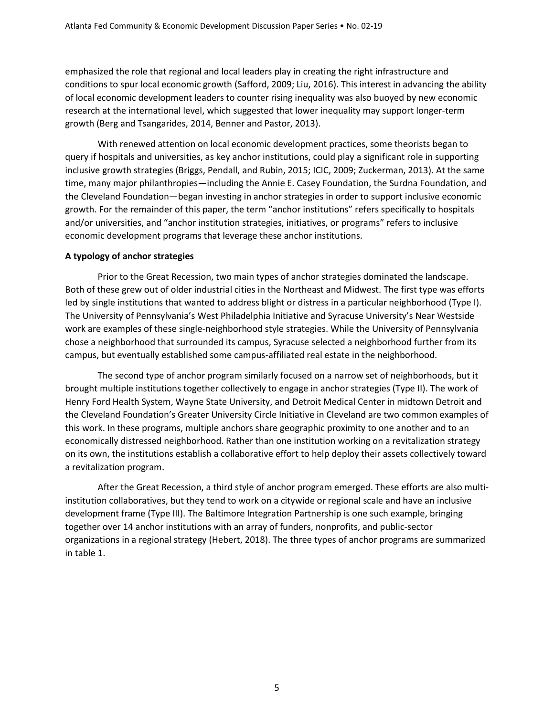emphasized the role that regional and local leaders play in creating the right infrastructure and conditions to spur local economic growth (Safford, 2009; Liu, 2016). This interest in advancing the ability of local economic development leaders to counter rising inequality was also buoyed by new economic research at the international level, which suggested that lower inequality may support longer-term growth (Berg and Tsangarides, 2014, Benner and Pastor, 2013).

With renewed attention on local economic development practices, some theorists began to query if hospitals and universities, as key anchor institutions, could play a significant role in supporting inclusive growth strategies (Briggs, Pendall, and Rubin, 2015; ICIC, 2009; Zuckerman, 2013). At the same time, many major philanthropies—including the Annie E. Casey Foundation, the Surdna Foundation, and the Cleveland Foundation—began investing in anchor strategies in order to support inclusive economic growth. For the remainder of this paper, the term "anchor institutions" refers specifically to hospitals and/or universities, and "anchor institution strategies, initiatives, or programs" refers to inclusive economic development programs that leverage these anchor institutions.

#### **A typology of anchor strategies**

Prior to the Great Recession, two main types of anchor strategies dominated the landscape. Both of these grew out of older industrial cities in the Northeast and Midwest. The first type was efforts led by single institutions that wanted to address blight or distress in a particular neighborhood (Type I). The University of Pennsylvania's West Philadelphia Initiative and Syracuse University's Near Westside work are examples of these single-neighborhood style strategies. While the University of Pennsylvania chose a neighborhood that surrounded its campus, Syracuse selected a neighborhood further from its campus, but eventually established some campus-affiliated real estate in the neighborhood.

The second type of anchor program similarly focused on a narrow set of neighborhoods, but it brought multiple institutions together collectively to engage in anchor strategies (Type II). The work of Henry Ford Health System, Wayne State University, and Detroit Medical Center in midtown Detroit and the Cleveland Foundation's Greater University Circle Initiative in Cleveland are two common examples of this work. In these programs, multiple anchors share geographic proximity to one another and to an economically distressed neighborhood. Rather than one institution working on a revitalization strategy on its own, the institutions establish a collaborative effort to help deploy their assets collectively toward a revitalization program.

After the Great Recession, a third style of anchor program emerged. These efforts are also multiinstitution collaboratives, but they tend to work on a citywide or regional scale and have an inclusive development frame (Type III). The Baltimore Integration Partnership is one such example, bringing together over 14 anchor institutions with an array of funders, nonprofits, and public-sector organizations in a regional strategy (Hebert, 2018). The three types of anchor programs are summarized in table 1.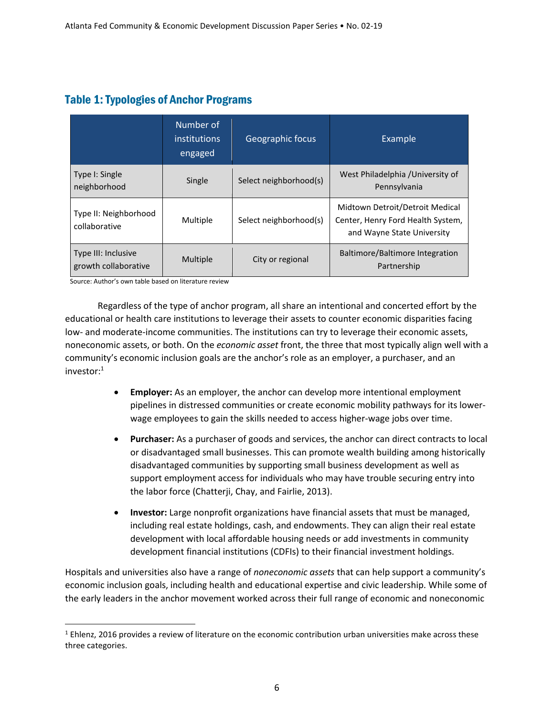# Table 1:Typologies of Anchor Programs

|                                             | Number of<br><i>institutions</i><br>engaged | <b>Geographic focus</b> | Example                                                                                            |  |
|---------------------------------------------|---------------------------------------------|-------------------------|----------------------------------------------------------------------------------------------------|--|
| Type I: Single<br>neighborhood              | Single                                      | Select neighborhood(s)  | West Philadelphia / University of<br>Pennsylvania                                                  |  |
| Type II: Neighborhood<br>collaborative      | Multiple                                    | Select neighborhood(s)  | Midtown Detroit/Detroit Medical<br>Center, Henry Ford Health System,<br>and Wayne State University |  |
| Type III: Inclusive<br>growth collaborative | Multiple                                    | City or regional        | Baltimore/Baltimore Integration<br>Partnership                                                     |  |

Source: Author's own table based on literature review

Regardless of the type of anchor program, all share an intentional and concerted effort by the educational or health care institutions to leverage their assets to counter economic disparities facing low- and moderate-income communities. The institutions can try to leverage their economic assets, noneconomic assets, or both. On the *economic asset* front, the three that most typically align well with a community's economic inclusion goals are the anchor's role as an employer, a purchaser, and an investor: 1

- **Employer:** As an employer, the anchor can develop more intentional employment pipelines in distressed communities or create economic mobility pathways for its lowerwage employees to gain the skills needed to access higher-wage jobs over time.
- **Purchaser:** As a purchaser of goods and services, the anchor can direct contracts to local or disadvantaged small businesses. This can promote wealth building among historically disadvantaged communities by supporting small business development as well as support employment access for individuals who may have trouble securing entry into the labor force (Chatterji, Chay, and Fairlie, 2013).
- **Investor:** Large nonprofit organizations have financial assets that must be managed, including real estate holdings, cash, and endowments. They can align their real estate development with local affordable housing needs or add investments in community development financial institutions (CDFIs) to their financial investment holdings.

Hospitals and universities also have a range of *noneconomic assets* that can help support a community's economic inclusion goals, including health and educational expertise and civic leadership. While some of the early leaders in the anchor movement worked across their full range of economic and noneconomic

 $1$  Ehlenz, 2016 provides a review of literature on the economic contribution urban universities make across these three categories.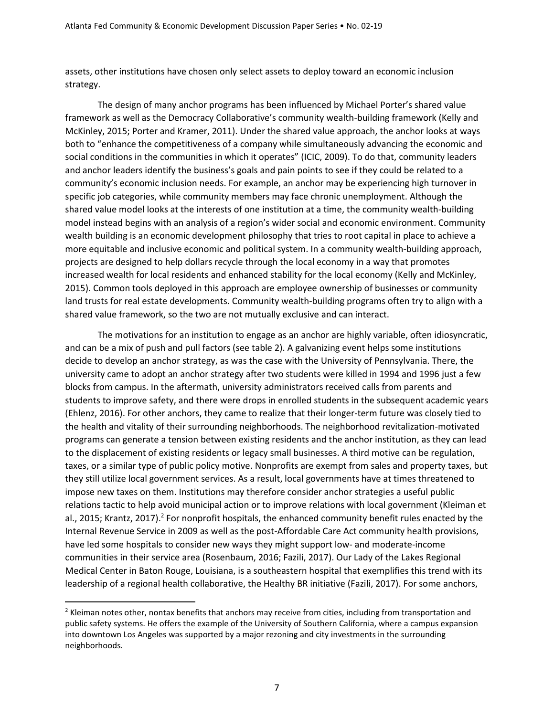assets, other institutions have chosen only select assets to deploy toward an economic inclusion strategy.

The design of many anchor programs has been influenced by Michael Porter's shared value framework as well as the Democracy Collaborative's community wealth-building framework (Kelly and McKinley, 2015; Porter and Kramer, 2011). Under the shared value approach, the anchor looks at ways both to "enhance the competitiveness of a company while simultaneously advancing the economic and social conditions in the communities in which it operates" (ICIC, 2009). To do that, community leaders and anchor leaders identify the business's goals and pain points to see if they could be related to a community's economic inclusion needs. For example, an anchor may be experiencing high turnover in specific job categories, while community members may face chronic unemployment. Although the shared value model looks at the interests of one institution at a time, the community wealth-building model instead begins with an analysis of a region's wider social and economic environment. Community wealth building is an economic development philosophy that tries to root capital in place to achieve a more equitable and inclusive economic and political system. In a community wealth-building approach, projects are designed to help dollars recycle through the local economy in a way that promotes increased wealth for local residents and enhanced stability for the local economy (Kelly and McKinley, 2015). Common tools deployed in this approach are employee ownership of businesses or community land trusts for real estate developments. Community wealth-building programs often try to align with a shared value framework, so the two are not mutually exclusive and can interact.

The motivations for an institution to engage as an anchor are highly variable, often idiosyncratic, and can be a mix of push and pull factors (see table 2). A galvanizing event helps some institutions decide to develop an anchor strategy, as was the case with the University of Pennsylvania. There, the university came to adopt an anchor strategy after two students were killed in 1994 and 1996 just a few blocks from campus. In the aftermath, university administrators received calls from parents and students to improve safety, and there were drops in enrolled students in the subsequent academic years (Ehlenz, 2016). For other anchors, they came to realize that their longer-term future was closely tied to the health and vitality of their surrounding neighborhoods. The neighborhood revitalization-motivated programs can generate a tension between existing residents and the anchor institution, as they can lead to the displacement of existing residents or legacy small businesses. A third motive can be regulation, taxes, or a similar type of public policy motive. Nonprofits are exempt from sales and property taxes, but they still utilize local government services. As a result, local governments have at times threatened to impose new taxes on them. Institutions may therefore consider anchor strategies a useful public relations tactic to help avoid municipal action or to improve relations with local government (Kleiman et al., 2015; Krantz, 2017).<sup>2</sup> For nonprofit hospitals, the enhanced community benefit rules enacted by the Internal Revenue Service in 2009 as well as the post-Affordable Care Act community health provisions, have led some hospitals to consider new ways they might support low- and moderate-income communities in their service area (Rosenbaum, 2016; Fazili, 2017). Our Lady of the Lakes Regional Medical Center in Baton Rouge, Louisiana, is a southeastern hospital that exemplifies this trend with its leadership of a regional health collaborative, the Healthy BR initiative (Fazili, 2017). For some anchors,

 $<sup>2</sup>$  Kleiman notes other, nontax benefits that anchors may receive from cities, including from transportation and</sup> public safety systems. He offers the example of the University of Southern California, where a campus expansion into downtown Los Angeles was supported by a major rezoning and city investments in the surrounding neighborhoods.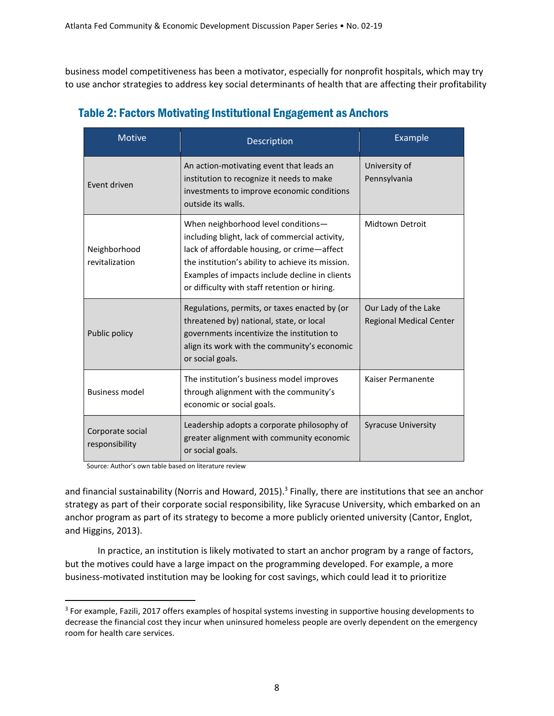business model competitiveness has been a motivator, especially for nonprofit hospitals, which may try to use anchor strategies to address key social determinants of health that are affecting their profitability

| <b>Motive</b>                      | Description                                                                                                                                                                                                                                                                                  | Example                                                |  |
|------------------------------------|----------------------------------------------------------------------------------------------------------------------------------------------------------------------------------------------------------------------------------------------------------------------------------------------|--------------------------------------------------------|--|
| Event driven                       | An action-motivating event that leads an<br>institution to recognize it needs to make<br>investments to improve economic conditions<br>outside its walls.                                                                                                                                    | University of<br>Pennsylvania                          |  |
| Neighborhood<br>revitalization     | When neighborhood level conditions-<br>including blight, lack of commercial activity,<br>lack of affordable housing, or crime-affect<br>the institution's ability to achieve its mission.<br>Examples of impacts include decline in clients<br>or difficulty with staff retention or hiring. | Midtown Detroit                                        |  |
| Public policy                      | Regulations, permits, or taxes enacted by (or<br>threatened by) national, state, or local<br>governments incentivize the institution to<br>align its work with the community's economic<br>or social goals.                                                                                  | Our Lady of the Lake<br><b>Regional Medical Center</b> |  |
| <b>Business model</b>              | The institution's business model improves<br>through alignment with the community's<br>economic or social goals.                                                                                                                                                                             | Kaiser Permanente                                      |  |
| Corporate social<br>responsibility | Leadership adopts a corporate philosophy of<br>greater alignment with community economic<br>or social goals.                                                                                                                                                                                 | <b>Syracuse University</b>                             |  |

# Table 2: Factors Motivating Institutional Engagement as Anchors

Source: Author's own table based on literature review

and financial sustainability (Norris and Howard, 2015).<sup>3</sup> Finally, there are institutions that see an anchor strategy as part of their corporate social responsibility, like Syracuse University, which embarked on an anchor program as part of its strategy to become a more publicly oriented university (Cantor, Englot, and Higgins, 2013).

In practice, an institution is likely motivated to start an anchor program by a range of factors, but the motives could have a large impact on the programming developed. For example, a more business-motivated institution may be looking for cost savings, which could lead it to prioritize

 $3$  For example, Fazili, 2017 offers examples of hospital systems investing in supportive housing developments to decrease the financial cost they incur when uninsured homeless people are overly dependent on the emergency room for health care services.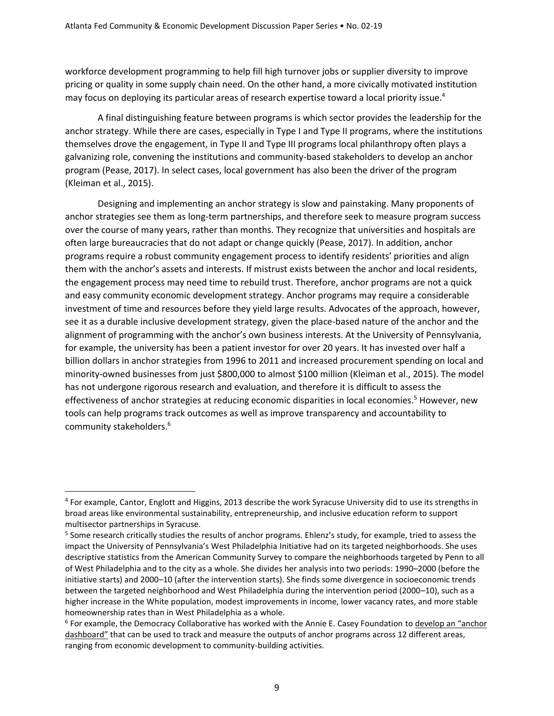workforce development programming to help fill high turnover jobs or supplier diversity to improve pricing or quality in some supply chain need. On the other hand, a more civically motivated institution may focus on deploying its particular areas of research expertise toward a local priority issue. 4

A final distinguishing feature between programs is which sector provides the leadership for the anchor strategy. While there are cases, especially in Type I and Type II programs, where the institutions themselves drove the engagement, in Type II and Type III programs local philanthropy often plays a galvanizing role, convening the institutions and community-based stakeholders to develop an anchor program (Pease, 2017). In select cases, local government has also been the driver of the program (Kleiman et al., 2015).

Designing and implementing an anchor strategy is slow and painstaking. Many proponents of anchor strategies see them as long-term partnerships, and therefore seek to measure program success over the course of many years, rather than months. They recognize that universities and hospitals are often large bureaucracies that do not adapt or change quickly (Pease, 2017). In addition, anchor programs require a robust community engagement process to identify residents' priorities and align them with the anchor's assets and interests. If mistrust exists between the anchor and local residents, the engagement process may need time to rebuild trust. Therefore, anchor programs are not a quick and easy community economic development strategy. Anchor programs may require a considerable investment of time and resources before they yield large results. Advocates of the approach, however, see it as a durable inclusive development strategy, given the place-based nature of the anchor and the alignment of programming with the anchor's own business interests. At the University of Pennsylvania, for example, the university has been a patient investor for over 20 years. It has invested over half a billion dollars in anchor strategies from 1996 to 2011 and increased procurement spending on local and minority-owned businesses from just \$800,000 to almost \$100 million (Kleiman et al., 2015). The model has not undergone rigorous research and evaluation, and therefore it is difficult to assess the effectiveness of anchor strategies at reducing economic disparities in local economies. <sup>5</sup> However, new tools can help programs track outcomes as well as improve transparency and accountability to community stakeholders.<sup>6</sup>

<sup>4</sup> For example, Cantor, Englott and Higgins, 2013 describe the work Syracuse University did to use its strengths in broad areas like environmental sustainability, entrepreneurship, and inclusive education reform to support multisector partnerships in Syracuse.

<sup>&</sup>lt;sup>5</sup> Some research critically studies the results of anchor programs. Ehlenz's study, for example, tried to assess the impact the University of Pennsylvania's West Philadelphia Initiative had on its targeted neighborhoods. She uses descriptive statistics from the American Community Survey to compare the neighborhoods targeted by Penn to all of West Philadelphia and to the city as a whole. She divides her analysis into two periods: 1990–2000 (before the initiative starts) and 2000–10 (after the intervention starts). She finds some divergence in socioeconomic trends between the targeted neighborhood and West Philadelphia during the intervention period (2000–10), such as a higher increase in the White population, modest improvements in income, lower vacancy rates, and more stable homeownership rates than in West Philadelphia as a whole.

<sup>&</sup>lt;sup>6</sup> For example, the Democracy Collaborative has worked with the Annie E. Casey Foundation to **develop an "anchor** [dashboard"](https://community-wealth.org/indicators) that can be used to track and measure the outputs of anchor programs across 12 different areas, ranging from economic development to community-building activities.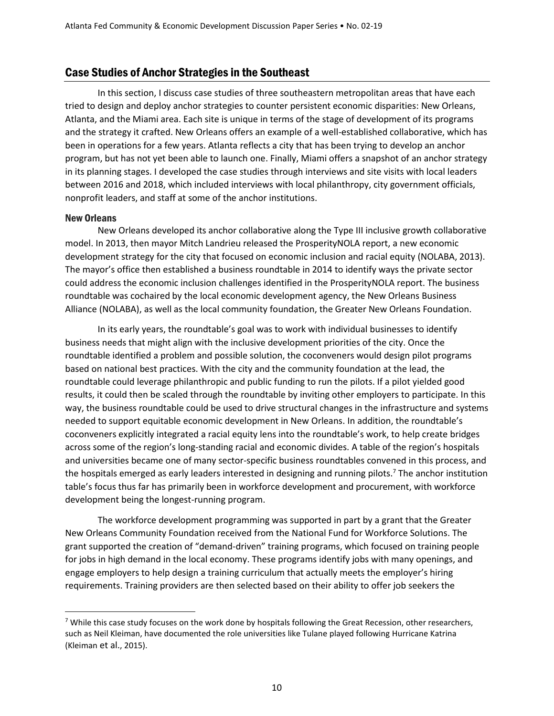#### Case Studies of Anchor Strategies in the Southeast

In this section, I discuss case studies of three southeastern metropolitan areas that have each tried to design and deploy anchor strategies to counter persistent economic disparities: New Orleans, Atlanta, and the Miami area. Each site is unique in terms of the stage of development of its programs and the strategy it crafted. New Orleans offers an example of a well-established collaborative, which has been in operations for a few years. Atlanta reflects a city that has been trying to develop an anchor program, but has not yet been able to launch one. Finally, Miami offers a snapshot of an anchor strategy in its planning stages. I developed the case studies through interviews and site visits with local leaders between 2016 and 2018, which included interviews with local philanthropy, city government officials, nonprofit leaders, and staff at some of the anchor institutions.

#### New Orleans

New Orleans developed its anchor collaborative along the Type III inclusive growth collaborative model. In 2013, then mayor Mitch Landrieu released the ProsperityNOLA report, a new economic development strategy for the city that focused on economic inclusion and racial equity (NOLABA, 2013). The mayor's office then established a business roundtable in 2014 to identify ways the private sector could address the economic inclusion challenges identified in the ProsperityNOLA report. The business roundtable was cochaired by the local economic development agency, the New Orleans Business Alliance (NOLABA), as well as the local community foundation, the Greater New Orleans Foundation.

In its early years, the roundtable's goal was to work with individual businesses to identify business needs that might align with the inclusive development priorities of the city. Once the roundtable identified a problem and possible solution, the coconveners would design pilot programs based on national best practices. With the city and the community foundation at the lead, the roundtable could leverage philanthropic and public funding to run the pilots. If a pilot yielded good results, it could then be scaled through the roundtable by inviting other employers to participate. In this way, the business roundtable could be used to drive structural changes in the infrastructure and systems needed to support equitable economic development in New Orleans. In addition, the roundtable's coconveners explicitly integrated a racial equity lens into the roundtable's work, to help create bridges across some of the region's long-standing racial and economic divides. A table of the region's hospitals and universities became one of many sector-specific business roundtables convened in this process, and the hospitals emerged as early leaders interested in designing and running pilots. <sup>7</sup> The anchor institution table's focus thus far has primarily been in workforce development and procurement, with workforce development being the longest-running program.

The workforce development programming was supported in part by a grant that the Greater New Orleans Community Foundation received from the National Fund for Workforce Solutions. The grant supported the creation of "demand-driven" training programs, which focused on training people for jobs in high demand in the local economy. These programs identify jobs with many openings, and engage employers to help design a training curriculum that actually meets the employer's hiring requirements. Training providers are then selected based on their ability to offer job seekers the

 $7$  While this case study focuses on the work done by hospitals following the Great Recession, other researchers, such as Neil Kleiman, have documented the role universities like Tulane played following Hurricane Katrina (Kleiman et al., 2015).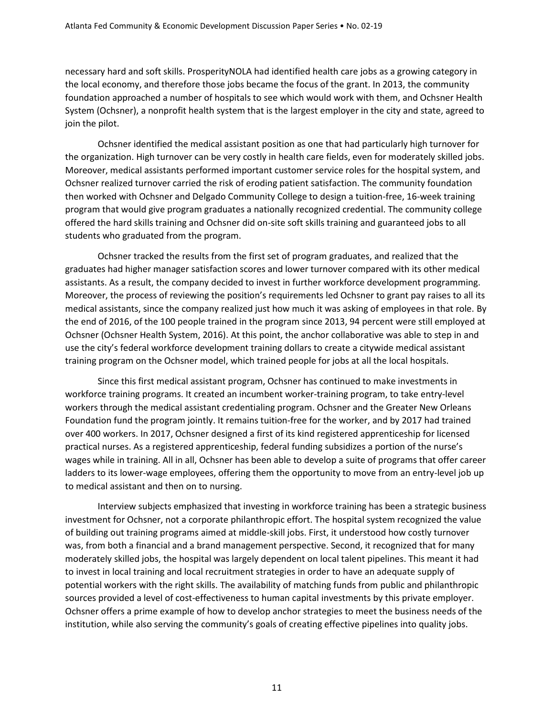necessary hard and soft skills. ProsperityNOLA had identified health care jobs as a growing category in the local economy, and therefore those jobs became the focus of the grant. In 2013, the community foundation approached a number of hospitals to see which would work with them, and Ochsner Health System (Ochsner), a nonprofit health system that is the largest employer in the city and state, agreed to join the pilot.

Ochsner identified the medical assistant position as one that had particularly high turnover for the organization. High turnover can be very costly in health care fields, even for moderately skilled jobs. Moreover, medical assistants performed important customer service roles for the hospital system, and Ochsner realized turnover carried the risk of eroding patient satisfaction. The community foundation then worked with Ochsner and Delgado Community College to design a tuition-free, 16-week training program that would give program graduates a nationally recognized credential. The community college offered the hard skills training and Ochsner did on-site soft skills training and guaranteed jobs to all students who graduated from the program.

Ochsner tracked the results from the first set of program graduates, and realized that the graduates had higher manager satisfaction scores and lower turnover compared with its other medical assistants. As a result, the company decided to invest in further workforce development programming. Moreover, the process of reviewing the position's requirements led Ochsner to grant pay raises to all its medical assistants, since the company realized just how much it was asking of employees in that role. By the end of 2016, of the 100 people trained in the program since 2013, 94 percent were still employed at Ochsner (Ochsner Health System, 2016). At this point, the anchor collaborative was able to step in and use the city's federal workforce development training dollars to create a citywide medical assistant training program on the Ochsner model, which trained people for jobs at all the local hospitals.

Since this first medical assistant program, Ochsner has continued to make investments in workforce training programs. It created an incumbent worker-training program, to take entry-level workers through the medical assistant credentialing program. Ochsner and the Greater New Orleans Foundation fund the program jointly. It remains tuition-free for the worker, and by 2017 had trained over 400 workers. In 2017, Ochsner designed a first of its kind registered apprenticeship for licensed practical nurses. As a registered apprenticeship, federal funding subsidizes a portion of the nurse's wages while in training. All in all, Ochsner has been able to develop a suite of programs that offer career ladders to its lower-wage employees, offering them the opportunity to move from an entry-level job up to medical assistant and then on to nursing.

Interview subjects emphasized that investing in workforce training has been a strategic business investment for Ochsner, not a corporate philanthropic effort. The hospital system recognized the value of building out training programs aimed at middle-skill jobs. First, it understood how costly turnover was, from both a financial and a brand management perspective. Second, it recognized that for many moderately skilled jobs, the hospital was largely dependent on local talent pipelines. This meant it had to invest in local training and local recruitment strategies in order to have an adequate supply of potential workers with the right skills. The availability of matching funds from public and philanthropic sources provided a level of cost-effectiveness to human capital investments by this private employer. Ochsner offers a prime example of how to develop anchor strategies to meet the business needs of the institution, while also serving the community's goals of creating effective pipelines into quality jobs.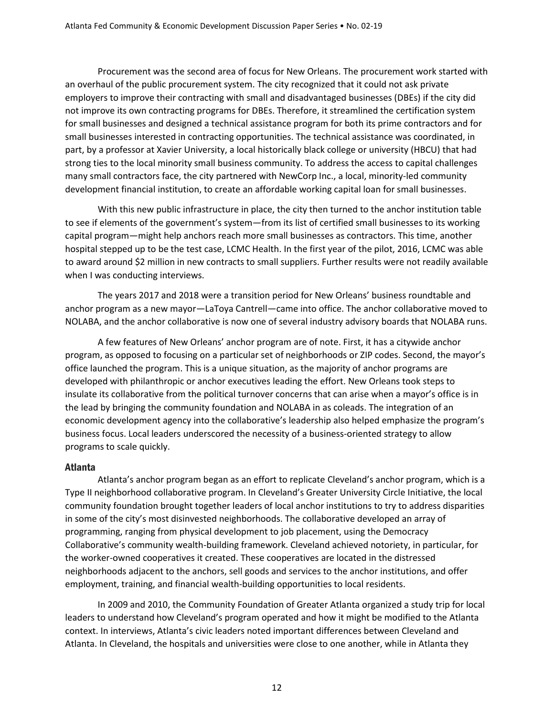Procurement was the second area of focus for New Orleans. The procurement work started with an overhaul of the public procurement system. The city recognized that it could not ask private employers to improve their contracting with small and disadvantaged businesses (DBEs) if the city did not improve its own contracting programs for DBEs. Therefore, it streamlined the certification system for small businesses and designed a technical assistance program for both its prime contractors and for small businesses interested in contracting opportunities. The technical assistance was coordinated, in part, by a professor at Xavier University, a local historically black college or university (HBCU) that had strong ties to the local minority small business community. To address the access to capital challenges many small contractors face, the city partnered with NewCorp Inc., a local, minority-led community development financial institution, to create an affordable working capital loan for small businesses.

With this new public infrastructure in place, the city then turned to the anchor institution table to see if elements of the government's system—from its list of certified small businesses to its working capital program—might help anchors reach more small businesses as contractors. This time, another hospital stepped up to be the test case, LCMC Health. In the first year of the pilot, 2016, LCMC was able to award around \$2 million in new contracts to small suppliers. Further results were not readily available when I was conducting interviews.

The years 2017 and 2018 were a transition period for New Orleans' business roundtable and anchor program as a new mayor—LaToya Cantrell—came into office. The anchor collaborative moved to NOLABA, and the anchor collaborative is now one of several industry advisory boards that NOLABA runs.

A few features of New Orleans' anchor program are of note. First, it has a citywide anchor program, as opposed to focusing on a particular set of neighborhoods or ZIP codes. Second, the mayor's office launched the program. This is a unique situation, as the majority of anchor programs are developed with philanthropic or anchor executives leading the effort. New Orleans took steps to insulate its collaborative from the political turnover concerns that can arise when a mayor's office is in the lead by bringing the community foundation and NOLABA in as coleads. The integration of an economic development agency into the collaborative's leadership also helped emphasize the program's business focus. Local leaders underscored the necessity of a business-oriented strategy to allow programs to scale quickly.

#### Atlanta

Atlanta's anchor program began as an effort to replicate Cleveland's anchor program, which is a Type II neighborhood collaborative program. In Cleveland's Greater University Circle Initiative, the local community foundation brought together leaders of local anchor institutions to try to address disparities in some of the city's most disinvested neighborhoods. The collaborative developed an array of programming, ranging from physical development to job placement, using the Democracy Collaborative's community wealth-building framework. Cleveland achieved notoriety, in particular, for the worker-owned cooperatives it created. These cooperatives are located in the distressed neighborhoods adjacent to the anchors, sell goods and services to the anchor institutions, and offer employment, training, and financial wealth-building opportunities to local residents.

In 2009 and 2010, the Community Foundation of Greater Atlanta organized a study trip for local leaders to understand how Cleveland's program operated and how it might be modified to the Atlanta context. In interviews, Atlanta's civic leaders noted important differences between Cleveland and Atlanta. In Cleveland, the hospitals and universities were close to one another, while in Atlanta they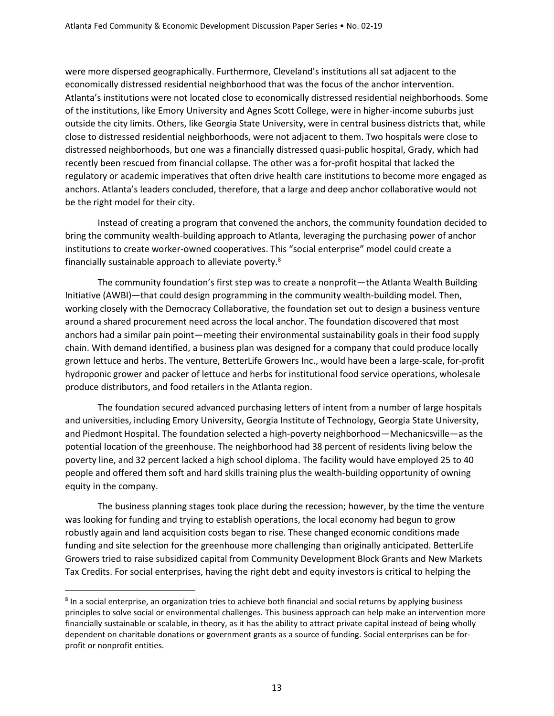were more dispersed geographically. Furthermore, Cleveland's institutions all sat adjacent to the economically distressed residential neighborhood that was the focus of the anchor intervention. Atlanta's institutions were not located close to economically distressed residential neighborhoods. Some of the institutions, like Emory University and Agnes Scott College, were in higher-income suburbs just outside the city limits. Others, like Georgia State University, were in central business districts that, while close to distressed residential neighborhoods, were not adjacent to them. Two hospitals were close to distressed neighborhoods, but one was a financially distressed quasi-public hospital, Grady, which had recently been rescued from financial collapse. The other was a for-profit hospital that lacked the regulatory or academic imperatives that often drive health care institutions to become more engaged as anchors. Atlanta's leaders concluded, therefore, that a large and deep anchor collaborative would not be the right model for their city.

Instead of creating a program that convened the anchors, the community foundation decided to bring the community wealth-building approach to Atlanta, leveraging the purchasing power of anchor institutions to create worker-owned cooperatives. This "social enterprise" model could create a financially sustainable approach to alleviate poverty.<sup>8</sup>

The community foundation's first step was to create a nonprofit—the Atlanta Wealth Building Initiative (AWBI)—that could design programming in the community wealth-building model. Then, working closely with the Democracy Collaborative, the foundation set out to design a business venture around a shared procurement need across the local anchor. The foundation discovered that most anchors had a similar pain point—meeting their environmental sustainability goals in their food supply chain. With demand identified, a business plan was designed for a company that could produce locally grown lettuce and herbs. The venture, BetterLife Growers Inc., would have been a large-scale, for-profit hydroponic grower and packer of lettuce and herbs for institutional food service operations, wholesale produce distributors, and food retailers in the Atlanta region.

The foundation secured advanced purchasing letters of intent from a number of large hospitals and universities, including Emory University, Georgia Institute of Technology, Georgia State University, and Piedmont Hospital. The foundation selected a high-poverty neighborhood—Mechanicsville—as the potential location of the greenhouse. The neighborhood had 38 percent of residents living below the poverty line, and 32 percent lacked a high school diploma. The facility would have employed 25 to 40 people and offered them soft and hard skills training plus the wealth-building opportunity of owning equity in the company.

The business planning stages took place during the recession; however, by the time the venture was looking for funding and trying to establish operations, the local economy had begun to grow robustly again and land acquisition costs began to rise. These changed economic conditions made funding and site selection for the greenhouse more challenging than originally anticipated. BetterLife Growers tried to raise subsidized capital from Community Development Block Grants and New Markets Tax Credits. For social enterprises, having the right debt and equity investors is critical to helping the

<sup>&</sup>lt;sup>8</sup> In a social enterprise, an organization tries to achieve both financial and social returns by applying business principles to solve social or environmental challenges. This business approach can help make an intervention more financially sustainable or scalable, in theory, as it has the ability to attract private capital instead of being wholly dependent on charitable donations or government grants as a source of funding. Social enterprises can be forprofit or nonprofit entities.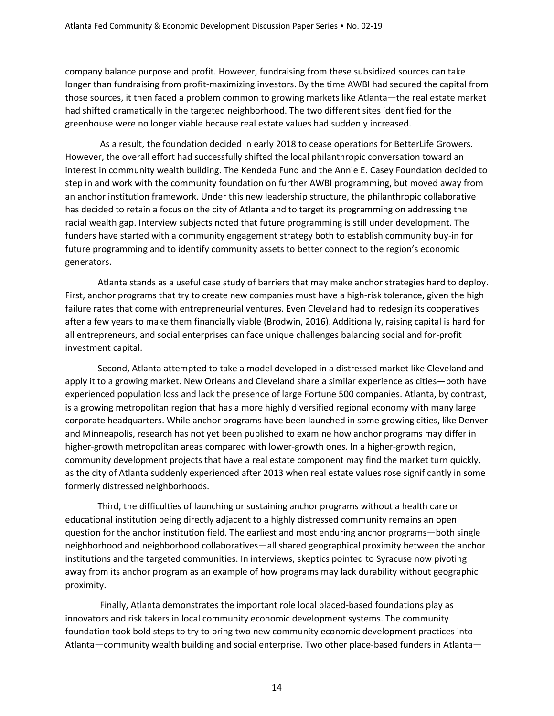company balance purpose and profit. However, fundraising from these subsidized sources can take longer than fundraising from profit-maximizing investors. By the time AWBI had secured the capital from those sources, it then faced a problem common to growing markets like Atlanta—the real estate market had shifted dramatically in the targeted neighborhood. The two different sites identified for the greenhouse were no longer viable because real estate values had suddenly increased.

As a result, the foundation decided in early 2018 to cease operations for BetterLife Growers. However, the overall effort had successfully shifted the local philanthropic conversation toward an interest in community wealth building. The Kendeda Fund and the Annie E. Casey Foundation decided to step in and work with the community foundation on further AWBI programming, but moved away from an anchor institution framework. Under this new leadership structure, the philanthropic collaborative has decided to retain a focus on the city of Atlanta and to target its programming on addressing the racial wealth gap. Interview subjects noted that future programming is still under development. The funders have started with a community engagement strategy both to establish community buy-in for future programming and to identify community assets to better connect to the region's economic generators.

Atlanta stands as a useful case study of barriers that may make anchor strategies hard to deploy. First, anchor programs that try to create new companies must have a high-risk tolerance, given the high failure rates that come with entrepreneurial ventures. Even Cleveland had to redesign its cooperatives after a few years to make them financially viable (Brodwin, 2016). Additionally, raising capital is hard for all entrepreneurs, and social enterprises can face unique challenges balancing social and for-profit investment capital.

Second, Atlanta attempted to take a model developed in a distressed market like Cleveland and apply it to a growing market. New Orleans and Cleveland share a similar experience as cities—both have experienced population loss and lack the presence of large Fortune 500 companies. Atlanta, by contrast, is a growing metropolitan region that has a more highly diversified regional economy with many large corporate headquarters. While anchor programs have been launched in some growing cities, like Denver and Minneapolis, research has not yet been published to examine how anchor programs may differ in higher-growth metropolitan areas compared with lower-growth ones. In a higher-growth region, community development projects that have a real estate component may find the market turn quickly, as the city of Atlanta suddenly experienced after 2013 when real estate values rose significantly in some formerly distressed neighborhoods.

Third, the difficulties of launching or sustaining anchor programs without a health care or educational institution being directly adjacent to a highly distressed community remains an open question for the anchor institution field. The earliest and most enduring anchor programs—both single neighborhood and neighborhood collaboratives—all shared geographical proximity between the anchor institutions and the targeted communities. In interviews, skeptics pointed to Syracuse now pivoting away from its anchor program as an example of how programs may lack durability without geographic proximity.

Finally, Atlanta demonstrates the important role local placed-based foundations play as innovators and risk takers in local community economic development systems. The community foundation took bold steps to try to bring two new community economic development practices into Atlanta—community wealth building and social enterprise. Two other place-based funders in Atlanta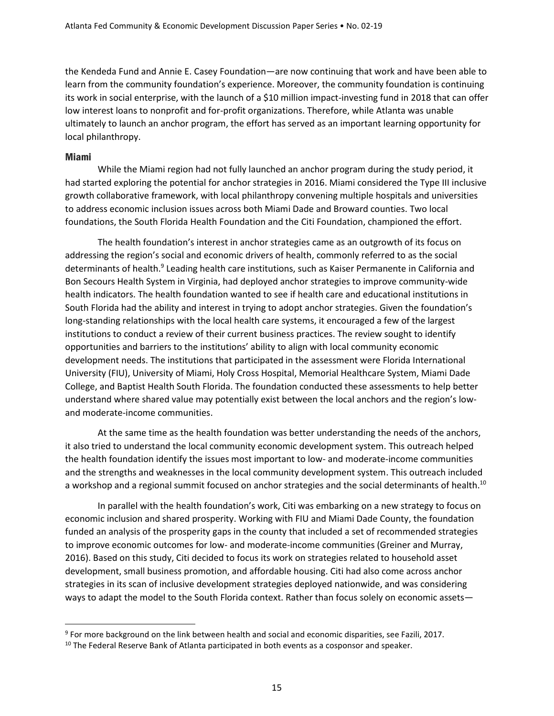the Kendeda Fund and Annie E. Casey Foundation—are now continuing that work and have been able to learn from the community foundation's experience. Moreover, the community foundation is continuing its work in social enterprise, with the launch of a \$10 million impact-investing fund in 2018 that can offer low interest loans to nonprofit and for-profit organizations. Therefore, while Atlanta was unable ultimately to launch an anchor program, the effort has served as an important learning opportunity for local philanthropy.

#### Miami

While the Miami region had not fully launched an anchor program during the study period, it had started exploring the potential for anchor strategies in 2016. Miami considered the Type III inclusive growth collaborative framework, with local philanthropy convening multiple hospitals and universities to address economic inclusion issues across both Miami Dade and Broward counties. Two local foundations, the South Florida Health Foundation and the Citi Foundation, championed the effort.

The health foundation's interest in anchor strategies came as an outgrowth of its focus on addressing the region's social and economic drivers of health, commonly referred to as the social determinants of health.<sup>9</sup> Leading health care institutions, such as Kaiser Permanente in California and Bon Secours Health System in Virginia, had deployed anchor strategies to improve community-wide health indicators. The health foundation wanted to see if health care and educational institutions in South Florida had the ability and interest in trying to adopt anchor strategies. Given the foundation's long-standing relationships with the local health care systems, it encouraged a few of the largest institutions to conduct a review of their current business practices. The review sought to identify opportunities and barriers to the institutions' ability to align with local community economic development needs. The institutions that participated in the assessment were Florida International University (FIU), University of Miami, Holy Cross Hospital, Memorial Healthcare System, Miami Dade College, and Baptist Health South Florida. The foundation conducted these assessments to help better understand where shared value may potentially exist between the local anchors and the region's lowand moderate-income communities.

At the same time as the health foundation was better understanding the needs of the anchors, it also tried to understand the local community economic development system. This outreach helped the health foundation identify the issues most important to low- and moderate-income communities and the strengths and weaknesses in the local community development system. This outreach included a workshop and a regional summit focused on anchor strategies and the social determinants of health.<sup>10</sup>

In parallel with the health foundation's work, Citi was embarking on a new strategy to focus on economic inclusion and shared prosperity. Working with FIU and Miami Dade County, the foundation funded an analysis of the prosperity gaps in the county that included a set of recommended strategies to improve economic outcomes for low- and moderate-income communities (Greiner and Murray, 2016). Based on this study, Citi decided to focus its work on strategies related to household asset development, small business promotion, and affordable housing. Citi had also come across anchor strategies in its scan of inclusive development strategies deployed nationwide, and was considering ways to adapt the model to the South Florida context. Rather than focus solely on economic assets—

<sup>&</sup>lt;sup>9</sup> For more background on the link between health and social and economic disparities, see Fazili, 2017.

<sup>&</sup>lt;sup>10</sup> The Federal Reserve Bank of Atlanta participated in both events as a cosponsor and speaker.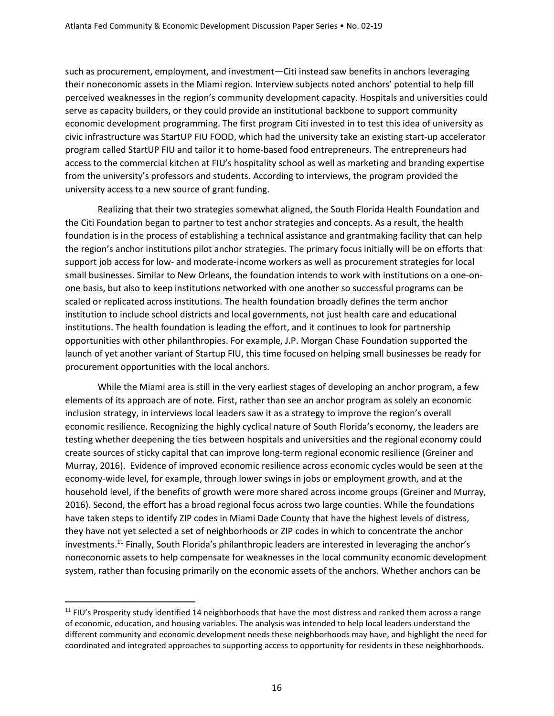such as procurement, employment, and investment—Citi instead saw benefits in anchors leveraging their noneconomic assets in the Miami region. Interview subjects noted anchors' potential to help fill perceived weaknesses in the region's community development capacity. Hospitals and universities could serve as capacity builders, or they could provide an institutional backbone to support community economic development programming. The first program Citi invested in to test this idea of university as civic infrastructure was StartUP FIU FOOD, which had the university take an existing start-up accelerator program called StartUP FIU and tailor it to home-based food entrepreneurs. The entrepreneurs had access to the commercial kitchen at FIU's hospitality school as well as marketing and branding expertise from the university's professors and students. According to interviews, the program provided the university access to a new source of grant funding.

Realizing that their two strategies somewhat aligned, the South Florida Health Foundation and the Citi Foundation began to partner to test anchor strategies and concepts. As a result, the health foundation is in the process of establishing a technical assistance and grantmaking facility that can help the region's anchor institutions pilot anchor strategies. The primary focus initially will be on efforts that support job access for low- and moderate-income workers as well as procurement strategies for local small businesses. Similar to New Orleans, the foundation intends to work with institutions on a one-onone basis, but also to keep institutions networked with one another so successful programs can be scaled or replicated across institutions. The health foundation broadly defines the term anchor institution to include school districts and local governments, not just health care and educational institutions. The health foundation is leading the effort, and it continues to look for partnership opportunities with other philanthropies. For example, J.P. Morgan Chase Foundation supported the launch of yet another variant of Startup FIU, this time focused on helping small businesses be ready for procurement opportunities with the local anchors.

While the Miami area is still in the very earliest stages of developing an anchor program, a few elements of its approach are of note. First, rather than see an anchor program as solely an economic inclusion strategy, in interviews local leaders saw it as a strategy to improve the region's overall economic resilience. Recognizing the highly cyclical nature of South Florida's economy, the leaders are testing whether deepening the ties between hospitals and universities and the regional economy could create sources of sticky capital that can improve long-term regional economic resilience (Greiner and Murray, 2016). Evidence of improved economic resilience across economic cycles would be seen at the economy-wide level, for example, through lower swings in jobs or employment growth, and at the household level, if the benefits of growth were more shared across income groups (Greiner and Murray, 2016). Second, the effort has a broad regional focus across two large counties. While the foundations have taken steps to identify ZIP codes in Miami Dade County that have the highest levels of distress, they have not yet selected a set of neighborhoods or ZIP codes in which to concentrate the anchor investments. <sup>11</sup> Finally, South Florida's philanthropic leaders are interested in leveraging the anchor's noneconomic assets to help compensate for weaknesses in the local community economic development system, rather than focusing primarily on the economic assets of the anchors. Whether anchors can be

 $11$  FIU's Prosperity study identified 14 neighborhoods that have the most distress and ranked them across a range of economic, education, and housing variables. The analysis was intended to help local leaders understand the different community and economic development needs these neighborhoods may have, and highlight the need for coordinated and integrated approaches to supporting access to opportunity for residents in these neighborhoods.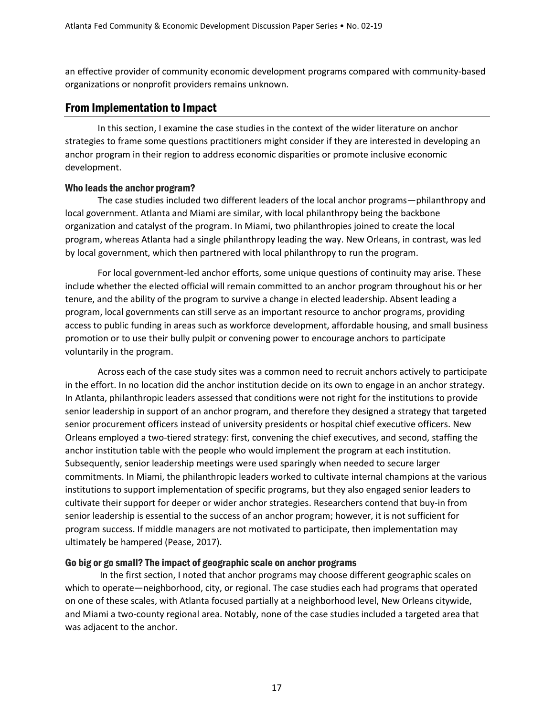an effective provider of community economic development programs compared with community-based organizations or nonprofit providers remains unknown.

#### From Implementation to Impact

In this section, I examine the case studies in the context of the wider literature on anchor strategies to frame some questions practitioners might consider if they are interested in developing an anchor program in their region to address economic disparities or promote inclusive economic development.

#### Who leads the anchor program?

The case studies included two different leaders of the local anchor programs—philanthropy and local government. Atlanta and Miami are similar, with local philanthropy being the backbone organization and catalyst of the program. In Miami, two philanthropies joined to create the local program, whereas Atlanta had a single philanthropy leading the way. New Orleans, in contrast, was led by local government, which then partnered with local philanthropy to run the program.

For local government-led anchor efforts, some unique questions of continuity may arise. These include whether the elected official will remain committed to an anchor program throughout his or her tenure, and the ability of the program to survive a change in elected leadership. Absent leading a program, local governments can still serve as an important resource to anchor programs, providing access to public funding in areas such as workforce development, affordable housing, and small business promotion or to use their bully pulpit or convening power to encourage anchors to participate voluntarily in the program.

Across each of the case study sites was a common need to recruit anchors actively to participate in the effort. In no location did the anchor institution decide on its own to engage in an anchor strategy. In Atlanta, philanthropic leaders assessed that conditions were not right for the institutions to provide senior leadership in support of an anchor program, and therefore they designed a strategy that targeted senior procurement officers instead of university presidents or hospital chief executive officers. New Orleans employed a two-tiered strategy: first, convening the chief executives, and second, staffing the anchor institution table with the people who would implement the program at each institution. Subsequently, senior leadership meetings were used sparingly when needed to secure larger commitments. In Miami, the philanthropic leaders worked to cultivate internal champions at the various institutions to support implementation of specific programs, but they also engaged senior leaders to cultivate their support for deeper or wider anchor strategies. Researchers contend that buy-in from senior leadership is essential to the success of an anchor program; however, it is not sufficient for program success. If middle managers are not motivated to participate, then implementation may ultimately be hampered (Pease, 2017).

#### Go big or go small? The impact of geographic scale on anchor programs

In the first section, I noted that anchor programs may choose different geographic scales on which to operate—neighborhood, city, or regional. The case studies each had programs that operated on one of these scales, with Atlanta focused partially at a neighborhood level, New Orleans citywide, and Miami a two-county regional area. Notably, none of the case studies included a targeted area that was adjacent to the anchor.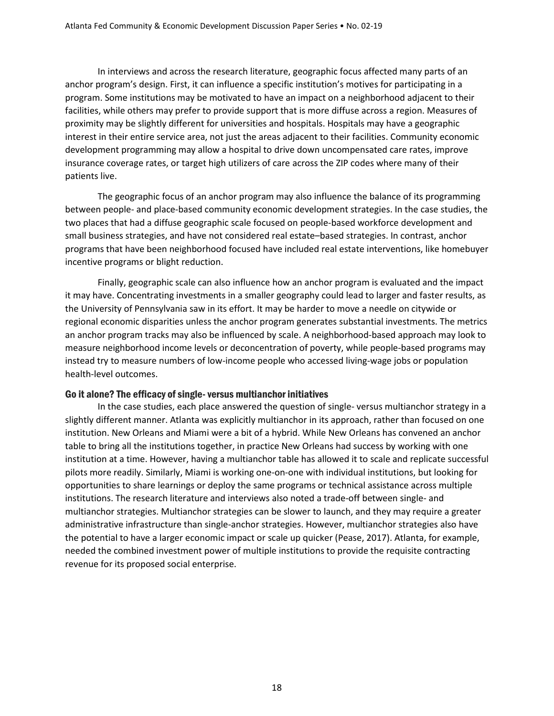In interviews and across the research literature, geographic focus affected many parts of an anchor program's design. First, it can influence a specific institution's motives for participating in a program. Some institutions may be motivated to have an impact on a neighborhood adjacent to their facilities, while others may prefer to provide support that is more diffuse across a region. Measures of proximity may be slightly different for universities and hospitals. Hospitals may have a geographic interest in their entire service area, not just the areas adjacent to their facilities. Community economic development programming may allow a hospital to drive down uncompensated care rates, improve insurance coverage rates, or target high utilizers of care across the ZIP codes where many of their patients live.

The geographic focus of an anchor program may also influence the balance of its programming between people- and place-based community economic development strategies. In the case studies, the two places that had a diffuse geographic scale focused on people-based workforce development and small business strategies, and have not considered real estate–based strategies. In contrast, anchor programs that have been neighborhood focused have included real estate interventions, like homebuyer incentive programs or blight reduction.

Finally, geographic scale can also influence how an anchor program is evaluated and the impact it may have. Concentrating investments in a smaller geography could lead to larger and faster results, as the University of Pennsylvania saw in its effort. It may be harder to move a needle on citywide or regional economic disparities unless the anchor program generates substantial investments. The metrics an anchor program tracks may also be influenced by scale. A neighborhood-based approach may look to measure neighborhood income levels or deconcentration of poverty, while people-based programs may instead try to measure numbers of low-income people who accessed living-wage jobs or population health-level outcomes.

#### Go it alone? The efficacy of single- versus multianchor initiatives

In the case studies, each place answered the question of single- versus multianchor strategy in a slightly different manner. Atlanta was explicitly multianchor in its approach, rather than focused on one institution. New Orleans and Miami were a bit of a hybrid. While New Orleans has convened an anchor table to bring all the institutions together, in practice New Orleans had success by working with one institution at a time. However, having a multianchor table has allowed it to scale and replicate successful pilots more readily. Similarly, Miami is working one-on-one with individual institutions, but looking for opportunities to share learnings or deploy the same programs or technical assistance across multiple institutions. The research literature and interviews also noted a trade-off between single- and multianchor strategies. Multianchor strategies can be slower to launch, and they may require a greater administrative infrastructure than single-anchor strategies. However, multianchor strategies also have the potential to have a larger economic impact or scale up quicker (Pease, 2017). Atlanta, for example, needed the combined investment power of multiple institutions to provide the requisite contracting revenue for its proposed social enterprise.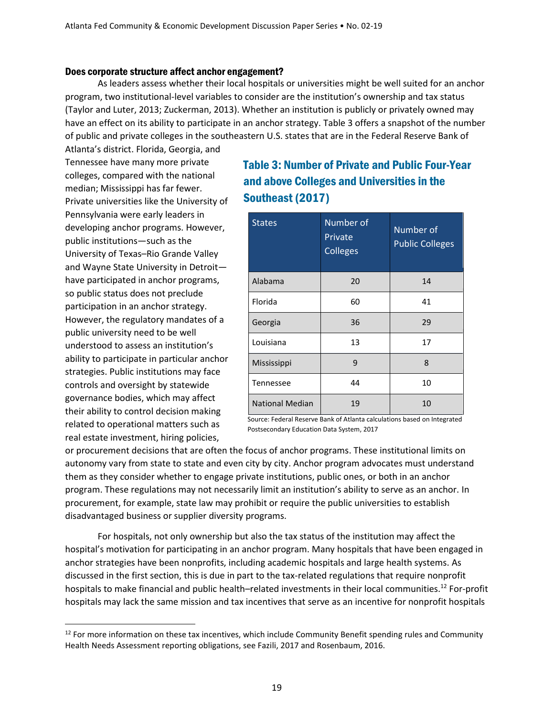#### Does corporate structure affect anchor engagement?

As leaders assess whether their local hospitals or universities might be well suited for an anchor program, two institutional-level variables to consider are the institution's ownership and tax status (Taylor and Luter, 2013; Zuckerman, 2013). Whether an institution is publicly or privately owned may have an effect on its ability to participate in an anchor strategy. Table 3 offers a snapshot of the number of public and private colleges in the southeastern U.S. states that are in the Federal Reserve Bank of

Atlanta's district. Florida, Georgia, and Tennessee have many more private colleges, compared with the national median; Mississippi has far fewer. Private universities like the University of Pennsylvania were early leaders in developing anchor programs. However, public institutions—such as the University of Texas–Rio Grande Valley and Wayne State University in Detroit have participated in anchor programs, so public status does not preclude participation in an anchor strategy. However, the regulatory mandates of a public university need to be well understood to assess an institution's ability to participate in particular anchor strategies. Public institutions may face controls and oversight by statewide governance bodies, which may affect their ability to control decision making related to operational matters such as real estate investment, hiring policies,

# Table 3: Number of Private and Public Four-Year and above Colleges and Universities in the Southeast (2017)

| <b>States</b>          | Number of<br>Private<br><b>Colleges</b> | Number of<br><b>Public Colleges</b> |  |
|------------------------|-----------------------------------------|-------------------------------------|--|
| Alabama                | 20                                      | 14                                  |  |
| Florida                | 60                                      | 41                                  |  |
| Georgia                | 36                                      | 29                                  |  |
| Louisiana              | 13                                      | 17                                  |  |
| Mississippi            | 9                                       | 8                                   |  |
| Tennessee              | 44                                      | 10                                  |  |
| <b>National Median</b> | 10<br>19                                |                                     |  |

Source: Federal Reserve Bank of Atlanta calculations based on Integrated Postsecondary Education Data System, 2017

or procurement decisions that are often the focus of anchor programs. These institutional limits on autonomy vary from state to state and even city by city. Anchor program advocates must understand them as they consider whether to engage private institutions, public ones, or both in an anchor program. These regulations may not necessarily limit an institution's ability to serve as an anchor. In procurement, for example, state law may prohibit or require the public universities to establish disadvantaged business or supplier diversity programs.

For hospitals, not only ownership but also the tax status of the institution may affect the hospital's motivation for participating in an anchor program. Many hospitals that have been engaged in anchor strategies have been nonprofits, including academic hospitals and large health systems. As discussed in the first section, this is due in part to the tax-related regulations that require nonprofit hospitals to make financial and public health–related investments in their local communities.<sup>12</sup> For-profit hospitals may lack the same mission and tax incentives that serve as an incentive for nonprofit hospitals

 $12$  For more information on these tax incentives, which include Community Benefit spending rules and Community Health Needs Assessment reporting obligations, see Fazili, 2017 and Rosenbaum, 2016.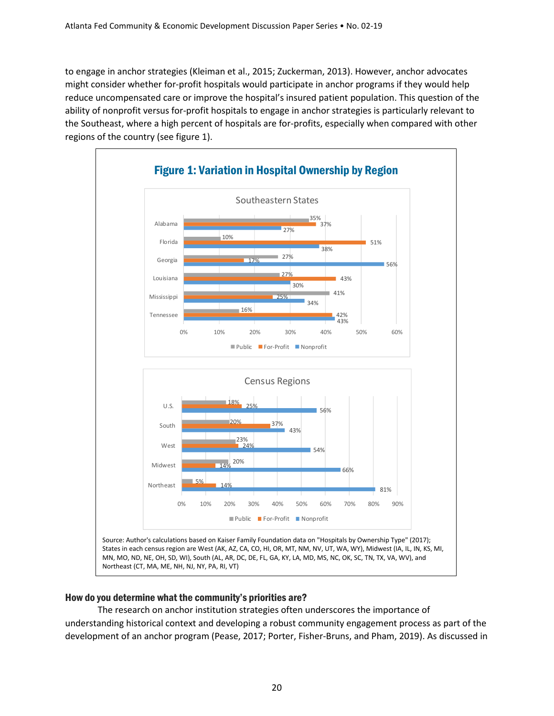to engage in anchor strategies (Kleiman et al., 2015; Zuckerman, 2013). However, anchor advocates might consider whether for-profit hospitals would participate in anchor programs if they would help reduce uncompensated care or improve the hospital's insured patient population. This question of the ability of nonprofit versus for-profit hospitals to engage in anchor strategies is particularly relevant to the Southeast, where a high percent of hospitals are for-profits, especially when compared with other regions of the country (see figure 1).



#### How do you determine what the community's priorities are?

The research on anchor institution strategies often underscores the importance of understanding historical context and developing a robust community engagement process as part of the development of an anchor program (Pease, 2017; Porter, Fisher-Bruns, and Pham, 2019). As discussed in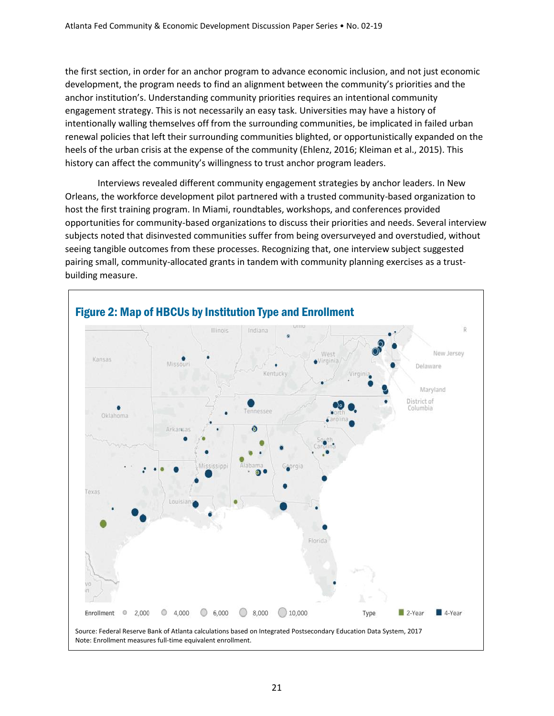the first section, in order for an anchor program to advance economic inclusion, and not just economic development, the program needs to find an alignment between the community's priorities and the anchor institution's. Understanding community priorities requires an intentional community engagement strategy. This is not necessarily an easy task. Universities may have a history of intentionally walling themselves off from the surrounding communities, be implicated in failed urban renewal policies that left their surrounding communities blighted, or opportunistically expanded on the heels of the urban crisis at the expense of the community (Ehlenz, 2016; Kleiman et al., 2015). This history can affect the community's willingness to trust anchor program leaders.

Interviews revealed different community engagement strategies by anchor leaders. In New Orleans, the workforce development pilot partnered with a trusted community-based organization to host the first training program. In Miami, roundtables, workshops, and conferences provided opportunities for community-based organizations to discuss their priorities and needs. Several interview subjects noted that disinvested communities suffer from being oversurveyed and overstudied, without seeing tangible outcomes from these processes. Recognizing that, one interview subject suggested pairing small, community-allocated grants in tandem with community planning exercises as a trustbuilding measure.

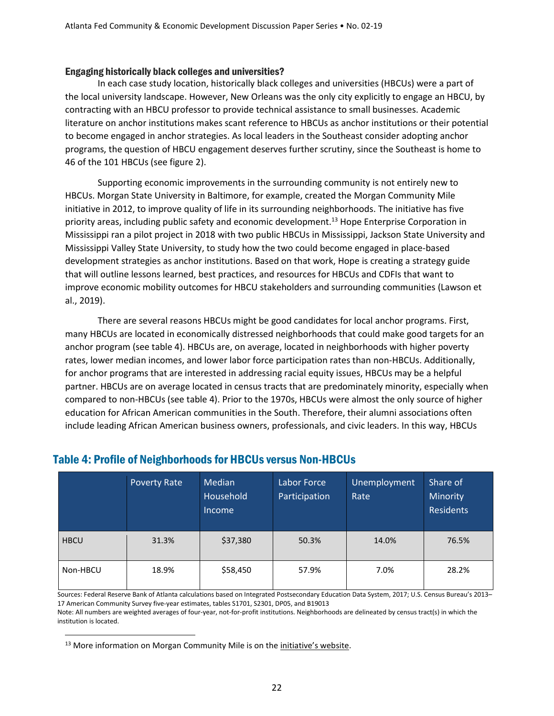#### Engaging historically black colleges and universities?

In each case study location, historically black colleges and universities (HBCUs) were a part of the local university landscape. However, New Orleans was the only city explicitly to engage an HBCU, by contracting with an HBCU professor to provide technical assistance to small businesses. Academic literature on anchor institutions makes scant reference to HBCUs as anchor institutions or their potential to become engaged in anchor strategies. As local leaders in the Southeast consider adopting anchor programs, the question of HBCU engagement deserves further scrutiny, since the Southeast is home to 46 of the 101 HBCUs (see figure 2).

Supporting economic improvements in the surrounding community is not entirely new to HBCUs. Morgan State University in Baltimore, for example, created the Morgan Community Mile initiative in 2012, to improve quality of life in its surrounding neighborhoods. The initiative has five priority areas, including public safety and economic development.<sup>13</sup> Hope Enterprise Corporation in Mississippi ran a pilot project in 2018 with two public HBCUs in Mississippi, Jackson State University and Mississippi Valley State University, to study how the two could become engaged in place-based development strategies as anchor institutions. Based on that work, Hope is creating a strategy guide that will outline lessons learned, best practices, and resources for HBCUs and CDFIs that want to improve economic mobility outcomes for HBCU stakeholders and surrounding communities (Lawson et al., 2019).

There are several reasons HBCUs might be good candidates for local anchor programs. First, many HBCUs are located in economically distressed neighborhoods that could make good targets for an anchor program (see table 4). HBCUs are, on average, located in neighborhoods with higher poverty rates, lower median incomes, and lower labor force participation rates than non-HBCUs. Additionally, for anchor programs that are interested in addressing racial equity issues, HBCUs may be a helpful partner. HBCUs are on average located in census tracts that are predominately minority, especially when compared to non-HBCUs (see table 4). Prior to the 1970s, HBCUs were almost the only source of higher education for African American communities in the South. Therefore, their alumni associations often include leading African American business owners, professionals, and civic leaders. In this way, HBCUs

|             | <b>Poverty Rate</b> | Median<br>Household<br><i><u><b>Income</b></u></i> | Labor Force<br>Participation | Unemployment<br>Rate | Share of<br>Minority<br><b>Residents</b> |
|-------------|---------------------|----------------------------------------------------|------------------------------|----------------------|------------------------------------------|
| <b>HBCU</b> | 31.3%               | \$37,380                                           | 50.3%                        | 14.0%                | 76.5%                                    |
| Non-HBCU    | 18.9%               | \$58,450                                           | 57.9%                        | 7.0%                 | 28.2%                                    |

# Table 4: Profile of Neighborhoods for HBCUs versus Non-HBCUs

Sources: Federal Reserve Bank of Atlanta calculations based on Integrated Postsecondary Education Data System, 2017; U.S. Census Bureau's 2013– 17 American Community Survey five-year estimates, tables S1701, S2301, DP05, and B19013

Note: All numbers are weighted averages of four-year, not-for-profit institutions. Neighborhoods are delineated by census tract(s) in which the institution is located.

<sup>&</sup>lt;sup>13</sup> More information on Morgan Community Mile is on the *[initiative's website](https://communitymile.morgan.edu/)*.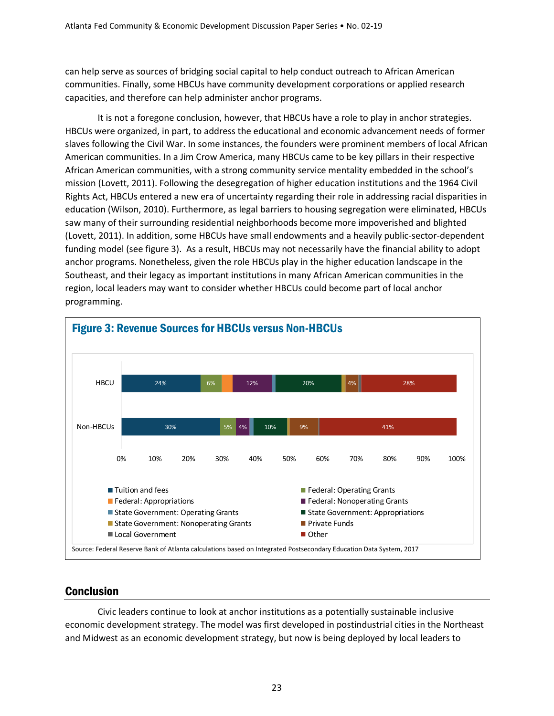can help serve as sources of bridging social capital to help conduct outreach to African American communities. Finally, some HBCUs have community development corporations or applied research capacities, and therefore can help administer anchor programs.

It is not a foregone conclusion, however, that HBCUs have a role to play in anchor strategies. HBCUs were organized, in part, to address the educational and economic advancement needs of former slaves following the Civil War. In some instances, the founders were prominent members of local African American communities. In a Jim Crow America, many HBCUs came to be key pillars in their respective African American communities, with a strong community service mentality embedded in the school's mission (Lovett, 2011). Following the desegregation of higher education institutions and the 1964 Civil Rights Act, HBCUs entered a new era of uncertainty regarding their role in addressing racial disparities in education (Wilson, 2010). Furthermore, as legal barriers to housing segregation were eliminated, HBCUs saw many of their surrounding residential neighborhoods become more impoverished and blighted (Lovett, 2011). In addition, some HBCUs have small endowments and a heavily public-sector-dependent funding model (see figure 3). As a result, HBCUs may not necessarily have the financial ability to adopt anchor programs. Nonetheless, given the role HBCUs play in the higher education landscape in the Southeast, and their legacy as important institutions in many African American communities in the region, local leaders may want to consider whether HBCUs could become part of local anchor programming.



## **Conclusion**

Civic leaders continue to look at anchor institutions as a potentially sustainable inclusive economic development strategy. The model was first developed in postindustrial cities in the Northeast and Midwest as an economic development strategy, but now is being deployed by local leaders to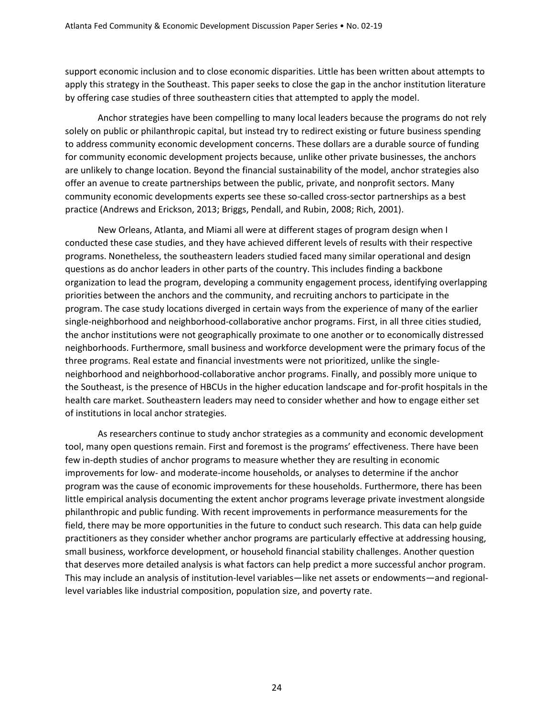support economic inclusion and to close economic disparities. Little has been written about attempts to apply this strategy in the Southeast. This paper seeks to close the gap in the anchor institution literature by offering case studies of three southeastern cities that attempted to apply the model.

Anchor strategies have been compelling to many local leaders because the programs do not rely solely on public or philanthropic capital, but instead try to redirect existing or future business spending to address community economic development concerns. These dollars are a durable source of funding for community economic development projects because, unlike other private businesses, the anchors are unlikely to change location. Beyond the financial sustainability of the model, anchor strategies also offer an avenue to create partnerships between the public, private, and nonprofit sectors. Many community economic developments experts see these so-called cross-sector partnerships as a best practice (Andrews and Erickson, 2013; Briggs, Pendall, and Rubin, 2008; Rich, 2001).

New Orleans, Atlanta, and Miami all were at different stages of program design when I conducted these case studies, and they have achieved different levels of results with their respective programs. Nonetheless, the southeastern leaders studied faced many similar operational and design questions as do anchor leaders in other parts of the country. This includes finding a backbone organization to lead the program, developing a community engagement process, identifying overlapping priorities between the anchors and the community, and recruiting anchors to participate in the program. The case study locations diverged in certain ways from the experience of many of the earlier single-neighborhood and neighborhood-collaborative anchor programs. First, in all three cities studied, the anchor institutions were not geographically proximate to one another or to economically distressed neighborhoods. Furthermore, small business and workforce development were the primary focus of the three programs. Real estate and financial investments were not prioritized, unlike the singleneighborhood and neighborhood-collaborative anchor programs. Finally, and possibly more unique to the Southeast, is the presence of HBCUs in the higher education landscape and for-profit hospitals in the health care market. Southeastern leaders may need to consider whether and how to engage either set of institutions in local anchor strategies.

As researchers continue to study anchor strategies as a community and economic development tool, many open questions remain. First and foremost is the programs' effectiveness. There have been few in-depth studies of anchor programs to measure whether they are resulting in economic improvements for low- and moderate-income households, or analyses to determine if the anchor program was the cause of economic improvements for these households. Furthermore, there has been little empirical analysis documenting the extent anchor programs leverage private investment alongside philanthropic and public funding. With recent improvements in performance measurements for the field, there may be more opportunities in the future to conduct such research. This data can help guide practitioners as they consider whether anchor programs are particularly effective at addressing housing, small business, workforce development, or household financial stability challenges. Another question that deserves more detailed analysis is what factors can help predict a more successful anchor program. This may include an analysis of institution-level variables—like net assets or endowments—and regionallevel variables like industrial composition, population size, and poverty rate.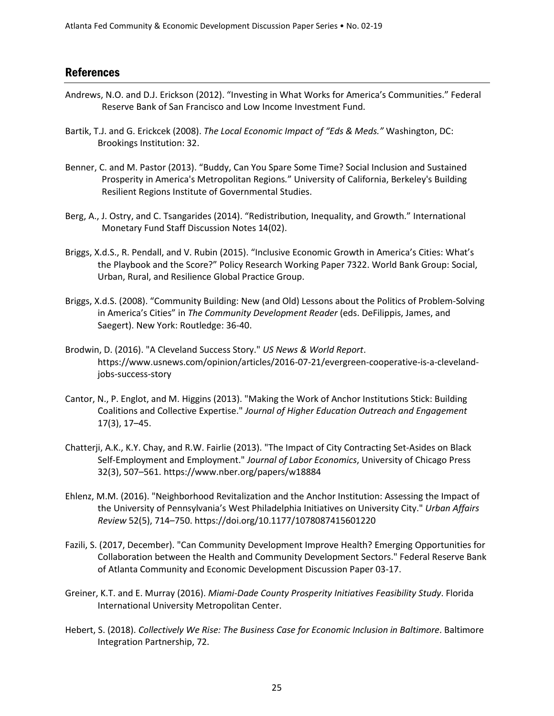#### References

- Andrews, N.O. and D.J. Erickson (2012). "Investing in What Works for America's Communities." Federal Reserve Bank of San Francisco and Low Income Investment Fund.
- Bartik, T.J. and G. Erickcek (2008). *The Local Economic Impact of "Eds & Meds."* Washington, DC: Brookings Institution: 32.
- Benner, C. and M. Pastor (2013). "Buddy, Can You Spare Some Time? Social Inclusion and Sustained Prosperity in America's Metropolitan Regions*.*" University of California, Berkeley's Building Resilient Regions Institute of Governmental Studies.
- Berg, A., J. Ostry, and C. Tsangarides (2014). "Redistribution, Inequality, and Growth." International Monetary Fund Staff Discussion Notes 14(02).
- Briggs, X.d.S., R. Pendall, and V. Rubin (2015). "Inclusive Economic Growth in America's Cities: What's the Playbook and the Score?" Policy Research Working Paper 7322. World Bank Group: Social, Urban, Rural, and Resilience Global Practice Group.
- Briggs, X.d.S. (2008). "Community Building: New (and Old) Lessons about the Politics of Problem-Solving in America's Cities" in *The Community Development Reader* (eds. DeFilippis, James, and Saegert). New York: Routledge: 36-40.
- Brodwin, D. (2016). "A Cleveland Success Story." *US News & World Report*. https://www.usnews.com/opinion/articles/2016-07-21/evergreen-cooperative-is-a-clevelandjobs-success-story
- Cantor, N., P. Englot, and M. Higgins (2013). "Making the Work of Anchor Institutions Stick: Building Coalitions and Collective Expertise." *Journal of Higher Education Outreach and Engagement* 17(3), 17–45.
- Chatterji, A.K., K.Y. Chay, and R.W. Fairlie (2013). "The Impact of City Contracting Set-Asides on Black Self-Employment and Employment." *Journal of Labor Economics*, University of Chicago Press 32(3), 507–561. https://www.nber.org/papers/w18884
- Ehlenz, M.M. (2016). "Neighborhood Revitalization and the Anchor Institution: Assessing the Impact of the University of Pennsylvania's West Philadelphia Initiatives on University City." *Urban Affairs Review* 52(5), 714–750. https://doi.org/10.1177/1078087415601220
- Fazili, S. (2017, December). "Can Community Development Improve Health? Emerging Opportunities for Collaboration between the Health and Community Development Sectors." Federal Reserve Bank of Atlanta Community and Economic Development Discussion Paper 03-17.
- Greiner, K.T. and E. Murray (2016). *Miami-Dade County Prosperity Initiatives Feasibility Study*. Florida International University Metropolitan Center.
- Hebert, S. (2018). *Collectively We Rise: The Business Case for Economic Inclusion in Baltimore*. Baltimore Integration Partnership, 72.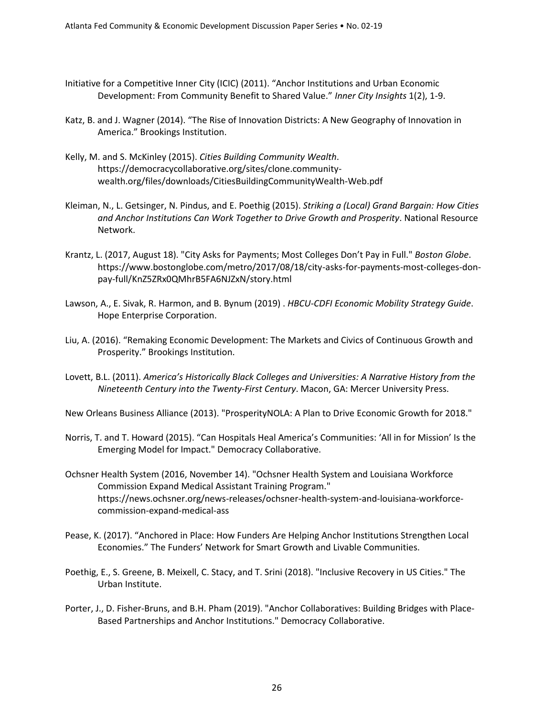- Initiative for a Competitive Inner City (ICIC) (2011). "Anchor Institutions and Urban Economic Development: From Community Benefit to Shared Value." *Inner City Insights* 1(2), 1-9.
- Katz, B. and J. Wagner (2014). "The Rise of Innovation Districts: A New Geography of Innovation in America." Brookings Institution.
- Kelly, M. and S. McKinley (2015). *Cities Building Community Wealth*. https://democracycollaborative.org/sites/clone.communitywealth.org/files/downloads/CitiesBuildingCommunityWealth-Web.pdf
- Kleiman, N., L. Getsinger, N. Pindus, and E. Poethig (2015). *Striking a (Local) Grand Bargain: How Cities and Anchor Institutions Can Work Together to Drive Growth and Prosperity*. National Resource Network.
- Krantz, L. (2017, August 18). "City Asks for Payments; Most Colleges Don't Pay in Full." *Boston Globe*. https://www.bostonglobe.com/metro/2017/08/18/city-asks-for-payments-most-colleges-donpay-full/KnZ5ZRx0QMhrB5FA6NJZxN/story.html
- Lawson, A., E. Sivak, R. Harmon, and B. Bynum (2019) . *HBCU-CDFI Economic Mobility Strategy Guide*. Hope Enterprise Corporation.
- Liu, A. (2016). "Remaking Economic Development: The Markets and Civics of Continuous Growth and Prosperity." Brookings Institution.
- Lovett, B.L. (2011). *America's Historically Black Colleges and Universities: A Narrative History from the Nineteenth Century into the Twenty-First Century*. Macon, GA: Mercer University Press.
- New Orleans Business Alliance (2013). "ProsperityNOLA: A Plan to Drive Economic Growth for 2018."
- Norris, T. and T. Howard (2015). "Can Hospitals Heal America's Communities: 'All in for Mission' Is the Emerging Model for Impact." Democracy Collaborative.
- Ochsner Health System (2016, November 14). "Ochsner Health System and Louisiana Workforce Commission Expand Medical Assistant Training Program." https://news.ochsner.org/news-releases/ochsner-health-system-and-louisiana-workforcecommission-expand-medical-ass
- Pease, K. (2017). "Anchored in Place: How Funders Are Helping Anchor Institutions Strengthen Local Economies." The Funders' Network for Smart Growth and Livable Communities.
- Poethig, E., S. Greene, B. Meixell, C. Stacy, and T. Srini (2018). "Inclusive Recovery in US Cities." The Urban Institute.
- Porter, J., D. Fisher-Bruns, and B.H. Pham (2019). "Anchor Collaboratives: Building Bridges with Place-Based Partnerships and Anchor Institutions." Democracy Collaborative.